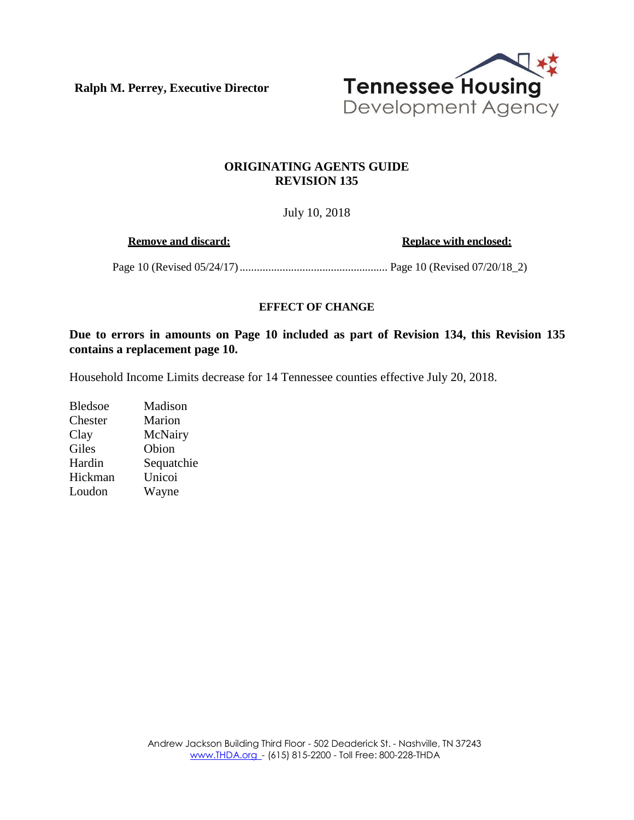**Ralph M. Perrey, Executive Director**



## **ORIGINATING AGENTS GUIDE REVISION 135**

## July 10, 2018

**Remove** and discard: **Replace Replace** with **enclosed:** 

Page 10 (Revised 05/24/17).................................................... Page 10 (Revised 07/20/18\_2)

## **EFFECT OF CHANGE**

**Due to errors in amounts on Page 10 included as part of Revision 134, this Revision 135 contains a replacement page 10.** 

Household Income Limits decrease for 14 Tennessee counties effective July 20, 2018.

Bledsoe Madison Chester Marion Clay McNairy Giles Obion Hardin Sequatchie Hickman Unicoi Loudon Wayne